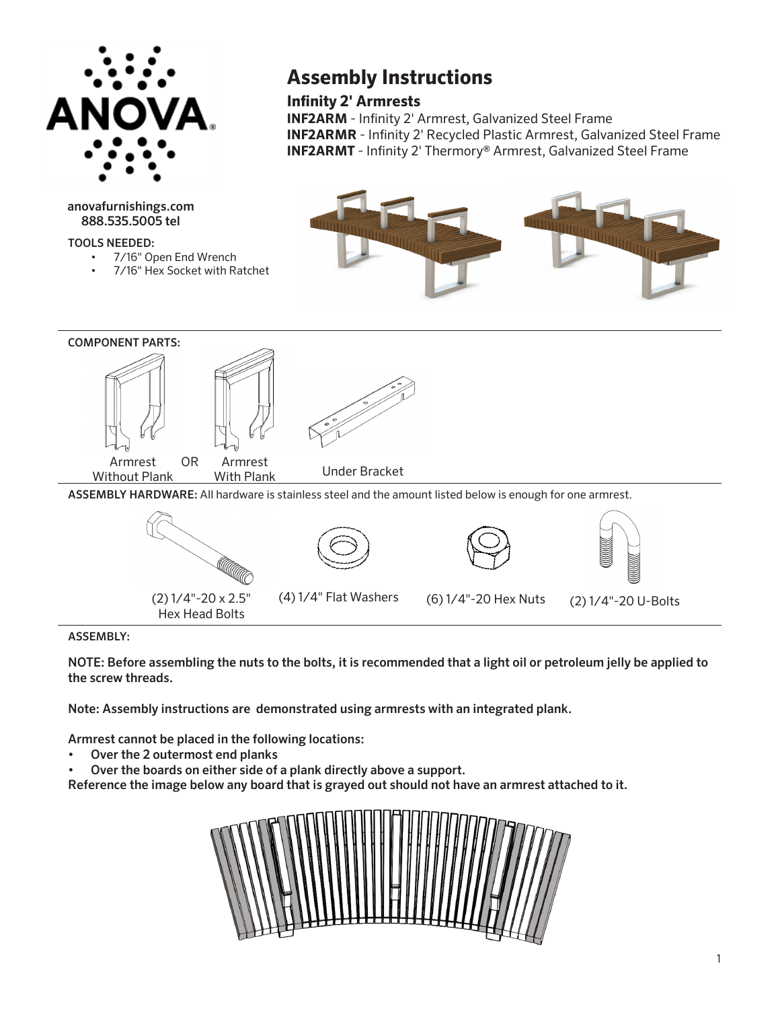

anovafurnishings.com 888.535.5005 tel

TOOLS NEEDED:

- 7/16" Open End Wrench
- 7/16" Hex Socket with Ratchet

## **Assembly Instructions**

**Infinity 2' Armrests**

**INF2ARM** - Infinity 2' Armrest, Galvanized Steel Frame **INF2ARMR** - Infinity 2' Recycled Plastic Armrest, Galvanized Steel Frame **INF2ARMT** - Infinity 2' Thermory® Armrest, Galvanized Steel Frame





## ASSEMBLY:

NOTE: Before assembling the nuts to the bolts, it is recommended that a light oil or petroleum jelly be applied to the screw threads.

(4) 1/4" Flat Washers (6) 1/4"-20 Hex Nuts

Note: Assembly instructions are demonstrated using armrests with an integrated plank.

Armrest cannot be placed in the following locations:

(2) 1/4"-20 x 2.5" Hex Head Bolts

- Over the 2 outermost end planks
- Over the boards on either side of a plank directly above a support.

Reference the image below any board that is grayed out should not have an armrest attached to it.



(2) 1/4"-20 U-Bolts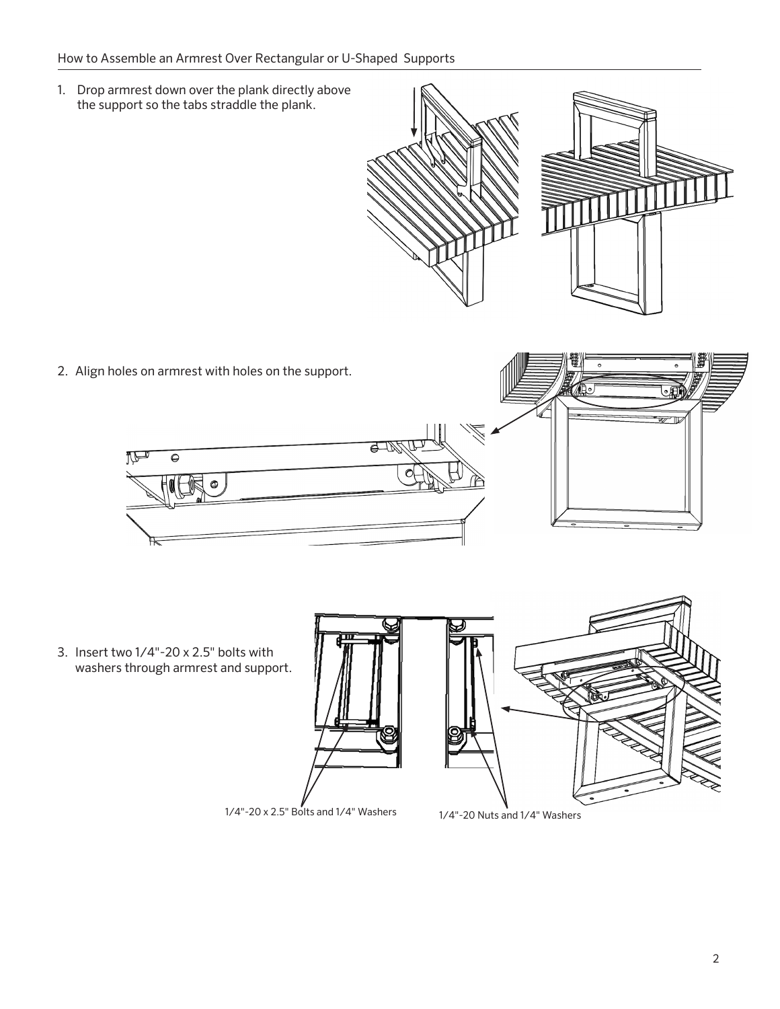## How to Assemble an Armrest Over Rectangular or U-Shaped Supports

1. Drop armrest down over the plank directly above the support so the tabs straddle the plank.



2. Align holes on armrest with holes on the support.



3. Insert two  $1/4$ "-20 x 2.5" bolts with washers through armrest and support.

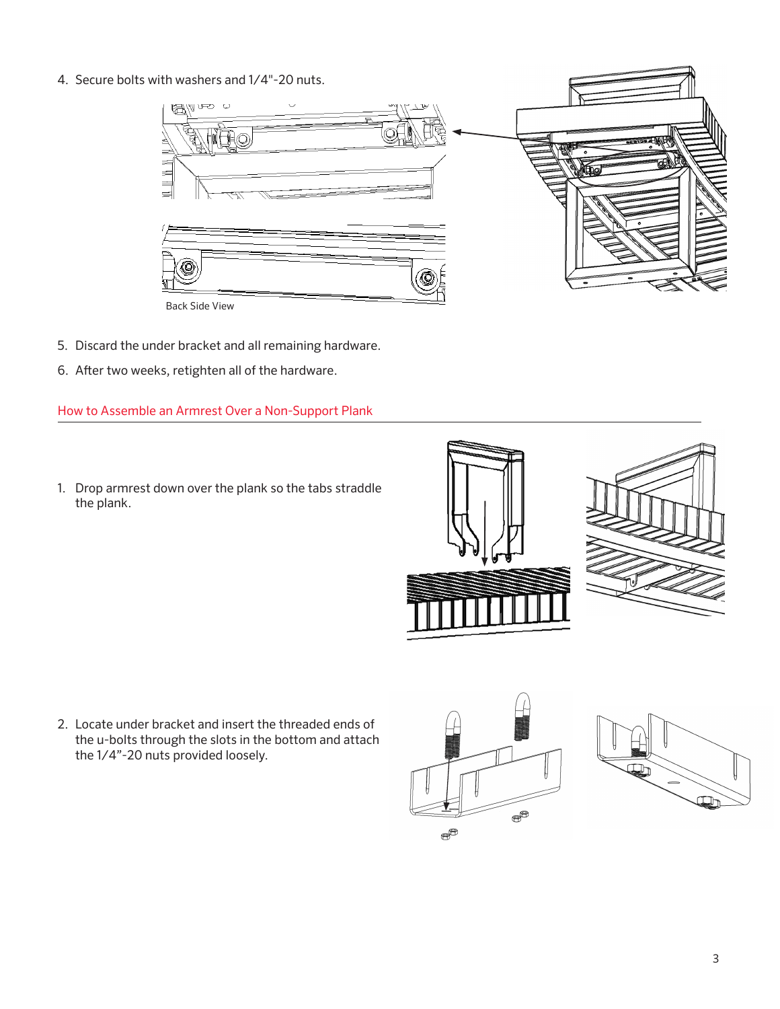4. Secure bolts with washers and 1/4"-20 nuts.



- 5. Discard the under bracket and all remaining hardware.
- 6. After two weeks, retighten all of the hardware.

How to Assemble an Armrest Over a Non-Support Plank

1. Drop armrest down over the plank so the tabs straddle the plank.



2. Locate under bracket and insert the threaded ends of the u-bolts through the slots in the bottom and attach the 1/4"-20 nuts provided loosely.



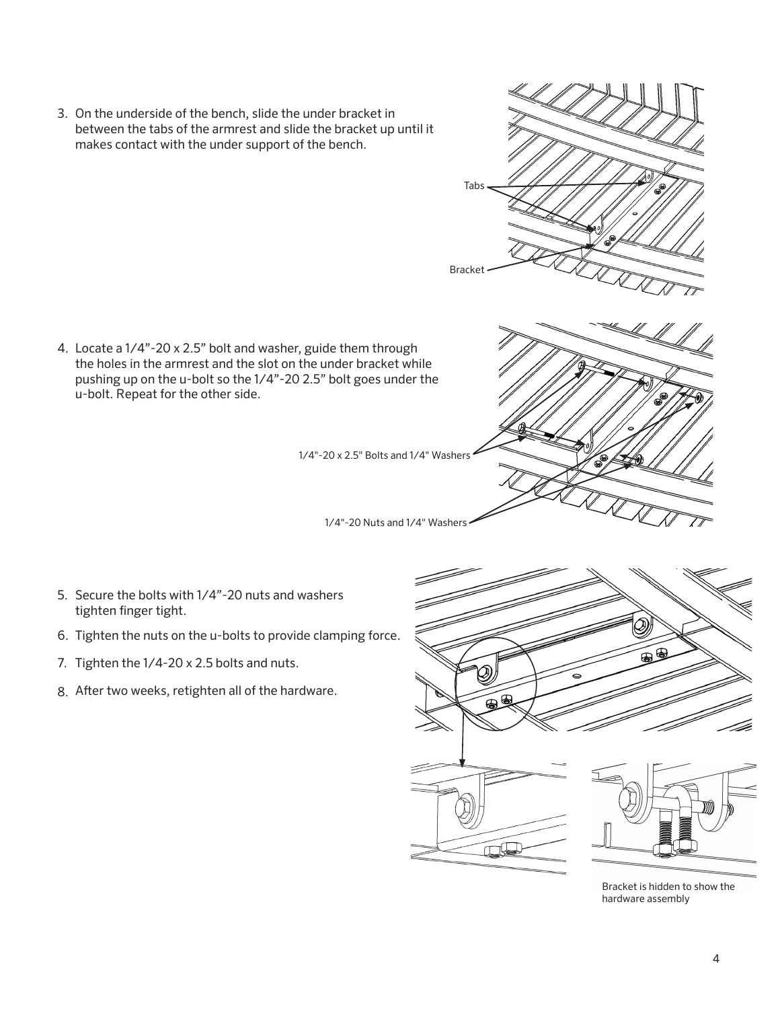3. On the underside of the bench, slide the under bracket in between the tabs of the armrest and slide the bracket up until it makes contact with the under support of the bench.

4. Locate a 1/4"-20 x 2.5" bolt and washer, guide them through the holes in the armrest and the slot on the under bracket while pushing up on the u-bolt so the 1/4"-20 2.5" bolt goes under the u-bolt. Repeat for the other side.

1/4"-20 x 2.5" Bolts and 1/4" Washers

1/4"-20 Nuts and 1/4" Washers

Tabs

Bracket

5. Secure the bolts with 1/4"-20 nuts and washers tighten finger tight.

- 6. Tighten the nuts on the u-bolts to provide clamping force.
- 7. Tighten the 1/4-20 x 2.5 bolts and nuts.
- 8. After two weeks, retighten all of the hardware.



Bracket is hidden to show the hardware assembly